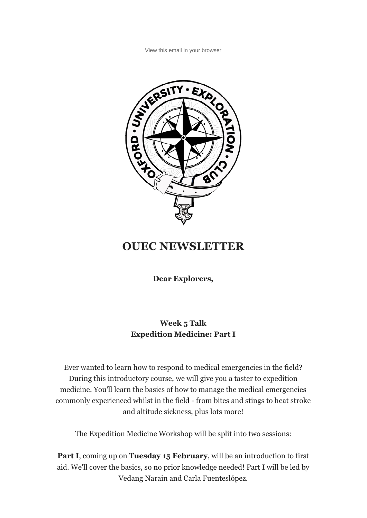View this email in your browser



## **OUEC NEWSLETTER**

**Dear Explorers,**

## **Week 5 Talk Expedition Medicine: Part I**

Ever wanted to learn how to respond to medical emergencies in the field? During this introductory course, we will give you a taster to expedition medicine. You'll learn the basics of how to manage the medical emergencies commonly experienced whilst in the field - from bites and stings to heat stroke and altitude sickness, plus lots more!

The Expedition Medicine Workshop will be split into two sessions:

**Part I**, coming up on **Tuesday 15 February**, will be an introduction to first aid. We'll cover the basics, so no prior knowledge needed! Part I will be led by Vedang Narain and Carla Fuenteslópez.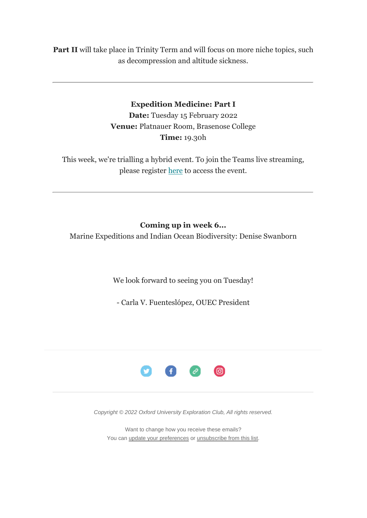**Part II** will take place in Trinity Term and will focus on more niche topics, such as decompression and altitude sickness.

## **Expedition Medicine: Part I**

**Date:** Tuesday 15 February 2022 **Venue:** Platnauer Room, Brasenose College **Time:** 19.30h

This week, we're trialling a hybrid event. To join the Teams live streaming, please register here to access the event.

**Coming up in week 6...**

Marine Expeditions and Indian Ocean Biodiversity: Denise Swanborn

We look forward to seeing you on Tuesday!

- Carla V. Fuenteslópez, OUEC President



*Copyright © 2022 Oxford University Exploration Club, All rights reserved.*

Want to change how you receive these emails? You can update your preferences or unsubscribe from this list.